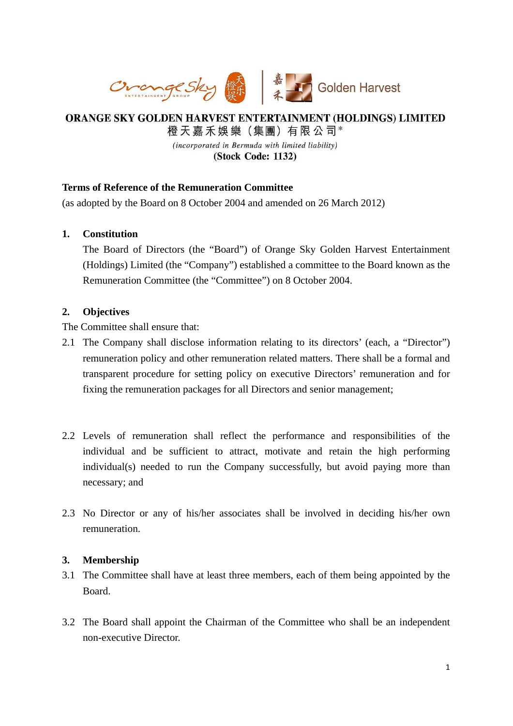

# ORANGE SKY GOLDEN HARVEST ENTERTAINMENT (HOLDINGS) LIMITED

橙天嘉禾娛樂 (集團) 有限公司\*

(incorporated in Bermuda with limited liability) (Stock Code: 1132)

## **Terms of Reference of the Remuneration Committee**

(as adopted by the Board on 8 October 2004 and amended on 26 March 2012)

## **1. Constitution**

The Board of Directors (the "Board") of Orange Sky Golden Harvest Entertainment (Holdings) Limited (the "Company") established a committee to the Board known as the Remuneration Committee (the "Committee") on 8 October 2004.

#### **2. Objectives**

The Committee shall ensure that:

- 2.1 The Company shall disclose information relating to its directors' (each, a "Director") remuneration policy and other remuneration related matters. There shall be a formal and transparent procedure for setting policy on executive Directors' remuneration and for fixing the remuneration packages for all Directors and senior management;
- 2.2 Levels of remuneration shall reflect the performance and responsibilities of the individual and be sufficient to attract, motivate and retain the high performing individual(s) needed to run the Company successfully, but avoid paying more than necessary; and
- 2.3 No Director or any of his/her associates shall be involved in deciding his/her own remuneration.

#### **3. Membership**

- 3.1 The Committee shall have at least three members, each of them being appointed by the Board.
- 3.2 The Board shall appoint the Chairman of the Committee who shall be an independent non-executive Director.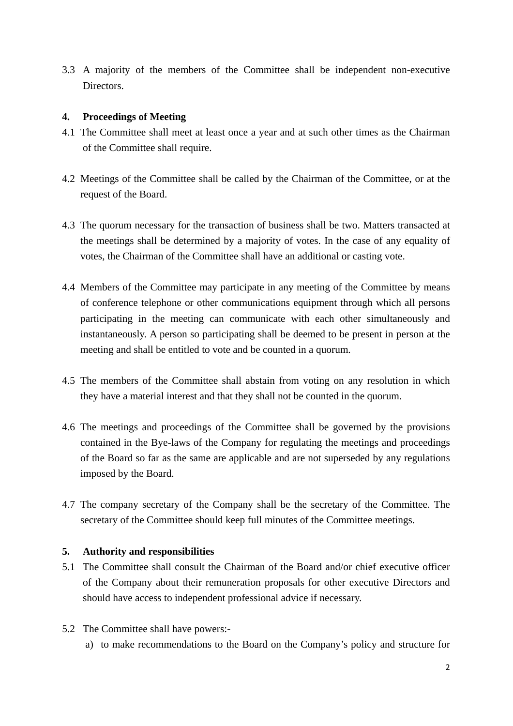3.3 A majority of the members of the Committee shall be independent non-executive Directors.

## **4. Proceedings of Meeting**

- 4.1 The Committee shall meet at least once a year and at such other times as the Chairman of the Committee shall require.
- 4.2 Meetings of the Committee shall be called by the Chairman of the Committee, or at the request of the Board.
- 4.3 The quorum necessary for the transaction of business shall be two. Matters transacted at the meetings shall be determined by a majority of votes. In the case of any equality of votes, the Chairman of the Committee shall have an additional or casting vote.
- 4.4 Members of the Committee may participate in any meeting of the Committee by means of conference telephone or other communications equipment through which all persons participating in the meeting can communicate with each other simultaneously and instantaneously. A person so participating shall be deemed to be present in person at the meeting and shall be entitled to vote and be counted in a quorum.
- 4.5 The members of the Committee shall abstain from voting on any resolution in which they have a material interest and that they shall not be counted in the quorum.
- 4.6 The meetings and proceedings of the Committee shall be governed by the provisions contained in the Bye-laws of the Company for regulating the meetings and proceedings of the Board so far as the same are applicable and are not superseded by any regulations imposed by the Board.
- 4.7 The company secretary of the Company shall be the secretary of the Committee. The secretary of the Committee should keep full minutes of the Committee meetings.

# **5. Authority and responsibilities**

- 5.1 The Committee shall consult the Chairman of the Board and/or chief executive officer of the Company about their remuneration proposals for other executive Directors and should have access to independent professional advice if necessary.
- 5.2 The Committee shall have powers:
	- a) to make recommendations to the Board on the Company's policy and structure for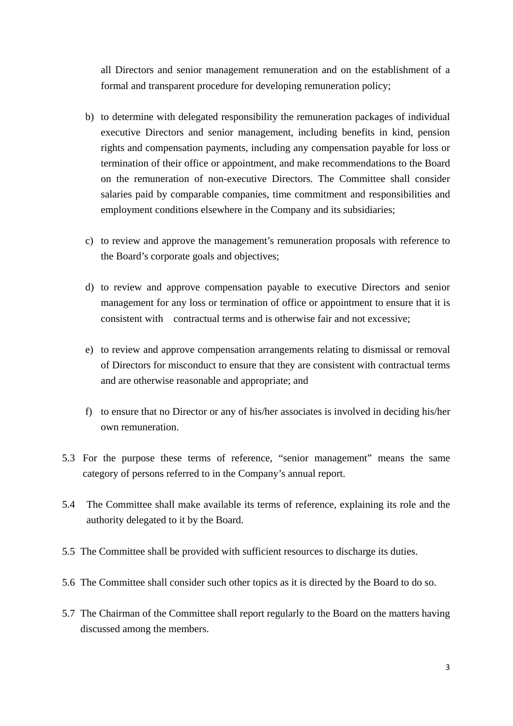all Directors and senior management remuneration and on the establishment of a formal and transparent procedure for developing remuneration policy;

- b) to determine with delegated responsibility the remuneration packages of individual executive Directors and senior management, including benefits in kind, pension rights and compensation payments, including any compensation payable for loss or termination of their office or appointment, and make recommendations to the Board on the remuneration of non-executive Directors. The Committee shall consider salaries paid by comparable companies, time commitment and responsibilities and employment conditions elsewhere in the Company and its subsidiaries;
- c) to review and approve the management's remuneration proposals with reference to the Board's corporate goals and objectives;
- d) to review and approve compensation payable to executive Directors and senior management for any loss or termination of office or appointment to ensure that it is consistent with contractual terms and is otherwise fair and not excessive;
- e) to review and approve compensation arrangements relating to dismissal or removal of Directors for misconduct to ensure that they are consistent with contractual terms and are otherwise reasonable and appropriate; and
- f) to ensure that no Director or any of his/her associates is involved in deciding his/her own remuneration.
- 5.3 For the purpose these terms of reference, "senior management" means the same category of persons referred to in the Company's annual report.
- 5.4 The Committee shall make available its terms of reference, explaining its role and the authority delegated to it by the Board.
- 5.5 The Committee shall be provided with sufficient resources to discharge its duties.
- 5.6 The Committee shall consider such other topics as it is directed by the Board to do so.
- 5.7 The Chairman of the Committee shall report regularly to the Board on the matters having discussed among the members.